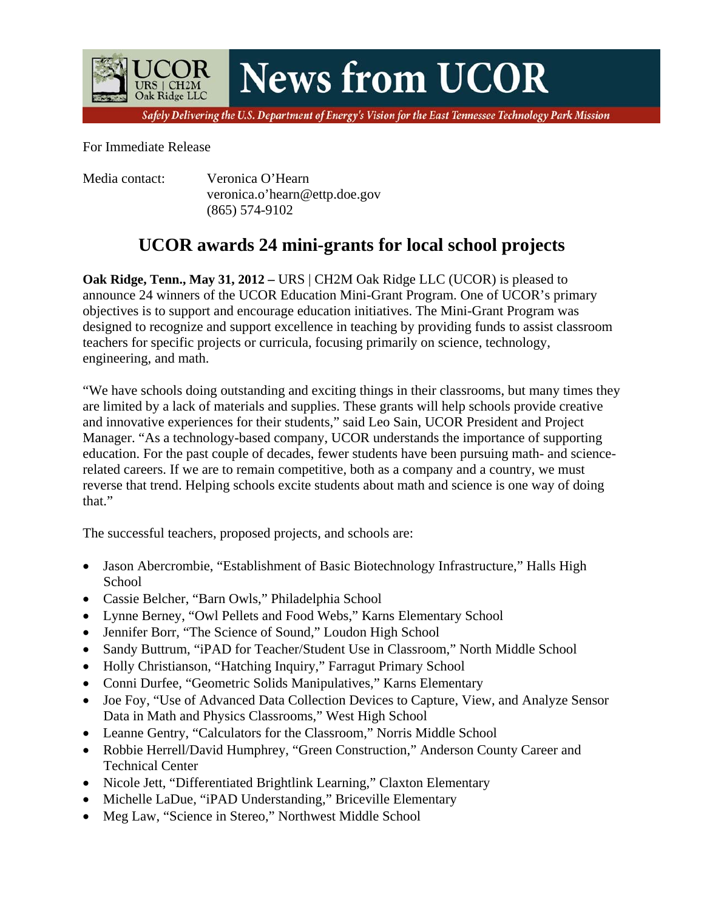**News from UCOR** 

Safely Delivering the U.S. Department of Energy's Vision for the East Tennessee Technology Park Mission

For Immediate Release

Oak Ridge LLC

Media contact: Veronica O'Hearn veronica.o'hearn@ettp.doe.gov (865) 574-9102

## **UCOR awards 24 mini-grants for local school projects**

**Oak Ridge, Tenn., May 31, 2012 – URS | CH2M Oak Ridge LLC (UCOR) is pleased to** announce 24 winners of the UCOR Education Mini-Grant Program. One of UCOR's primary objectives is to support and encourage education initiatives. The Mini-Grant Program was designed to recognize and support excellence in teaching by providing funds to assist classroom teachers for specific projects or curricula, focusing primarily on science, technology, engineering, and math.

"We have schools doing outstanding and exciting things in their classrooms, but many times they are limited by a lack of materials and supplies. These grants will help schools provide creative and innovative experiences for their students," said Leo Sain, UCOR President and Project Manager. "As a technology-based company, UCOR understands the importance of supporting education. For the past couple of decades, fewer students have been pursuing math- and sciencerelated careers. If we are to remain competitive, both as a company and a country, we must reverse that trend. Helping schools excite students about math and science is one way of doing that."

The successful teachers, proposed projects, and schools are:

- Jason Abercrombie, "Establishment of Basic Biotechnology Infrastructure," Halls High School
- Cassie Belcher, "Barn Owls," Philadelphia School
- Lynne Berney, "Owl Pellets and Food Webs," Karns Elementary School
- Jennifer Borr, "The Science of Sound," Loudon High School
- Sandy Buttrum, "iPAD for Teacher/Student Use in Classroom," North Middle School
- Holly Christianson, "Hatching Inquiry," Farragut Primary School
- Conni Durfee, "Geometric Solids Manipulatives," Karns Elementary
- Joe Foy, "Use of Advanced Data Collection Devices to Capture, View, and Analyze Sensor Data in Math and Physics Classrooms," West High School
- Leanne Gentry, "Calculators for the Classroom," Norris Middle School
- Robbie Herrell/David Humphrey, "Green Construction," Anderson County Career and Technical Center
- Nicole Jett, "Differentiated Brightlink Learning," Claxton Elementary
- Michelle LaDue, "iPAD Understanding," Briceville Elementary
- Meg Law, "Science in Stereo," Northwest Middle School